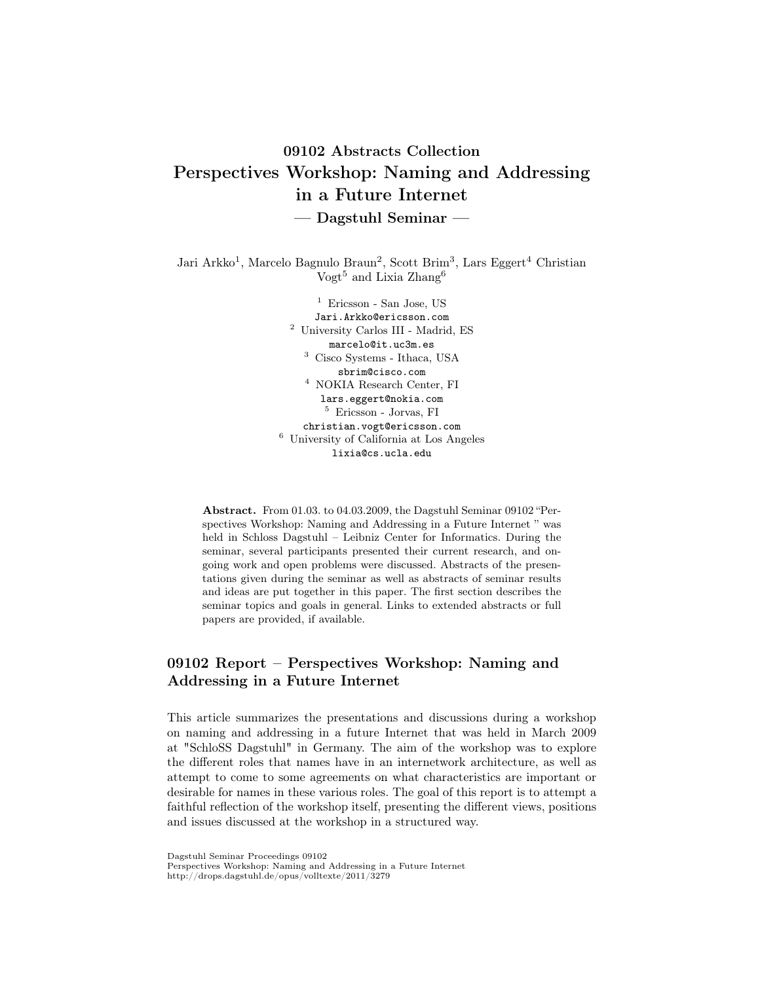# 09102 Abstracts Collection Perspectives Workshop: Naming and Addressing in a Future Internet — Dagstuhl Seminar —

Jari Arkko<sup>1</sup>, Marcelo Bagnulo Braun<sup>2</sup>, Scott Brim<sup>3</sup>, Lars Eggert<sup>4</sup> Christian Vogt<sup>5</sup> and Lixia Zhang<sup>6</sup>

> <sup>1</sup> Ericsson - San Jose, US Jari.Arkko@ericsson.com  $^2\,$  University Carlos III - Madrid, ES marcelo@it.uc3m.es <sup>3</sup> Cisco Systems - Ithaca, USA sbrim@cisco.com <sup>4</sup> NOKIA Research Center, FI lars.eggert@nokia.com  $^5\,$  Ericsson - Jorvas, FI christian.vogt@ericsson.com <sup>6</sup> University of California at Los Angeles lixia@cs.ucla.edu

Abstract. From 01.03. to 04.03.2009, the Dagstuhl Seminar 09102 "Perspectives Workshop: Naming and Addressing in a Future Internet " was held in Schloss Dagstuhl – Leibniz Center for Informatics. During the seminar, several participants presented their current research, and ongoing work and open problems were discussed. Abstracts of the presentations given during the seminar as well as abstracts of seminar results and ideas are put together in this paper. The first section describes the seminar topics and goals in general. Links to extended abstracts or full papers are provided, if available.

## 09102 Report – Perspectives Workshop: Naming and Addressing in a Future Internet

This article summarizes the presentations and discussions during a workshop on naming and addressing in a future Internet that was held in March 2009 at "Schloß Dagstuhl" in Germany. The aim of the workshop was to explore the different roles that names have in an internetwork architecture, as well as attempt to come to some agreements on what characteristics are important or desirable for names in these various roles. The goal of this report is to attempt a faithful reflection of the workshop itself, presenting the different views, positions and issues discussed at the workshop in a structured way.

Dagstuhl Seminar Proceedings 09102 Perspectives Workshop: Naming and Addressing in a Future Internet http://drops.dagstuhl.de/opus/volltexte/2011/3279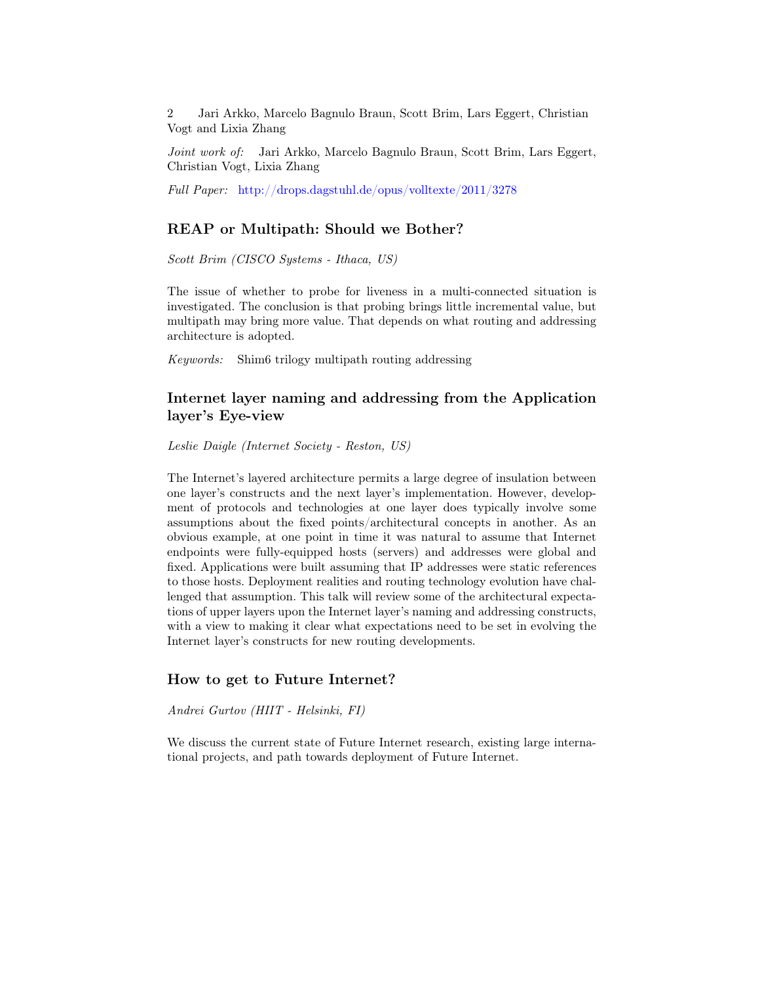2 Jari Arkko, Marcelo Bagnulo Braun, Scott Brim, Lars Eggert, Christian Vogt and Lixia Zhang

Joint work of: Jari Arkko, Marcelo Bagnulo Braun, Scott Brim, Lars Eggert, Christian Vogt, Lixia Zhang

Full Paper: <http://drops.dagstuhl.de/opus/volltexte/2011/3278>

### REAP or Multipath: Should we Bother?

Scott Brim (CISCO Systems - Ithaca, US)

The issue of whether to probe for liveness in a multi-connected situation is investigated. The conclusion is that probing brings little incremental value, but multipath may bring more value. That depends on what routing and addressing architecture is adopted.

Keywords: Shim6 trilogy multipath routing addressing

## Internet layer naming and addressing from the Application layer's Eye-view

Leslie Daigle (Internet Society - Reston, US)

The Internet's layered architecture permits a large degree of insulation between one layer's constructs and the next layer's implementation. However, development of protocols and technologies at one layer does typically involve some assumptions about the fixed points/architectural concepts in another. As an obvious example, at one point in time it was natural to assume that Internet endpoints were fully-equipped hosts (servers) and addresses were global and fixed. Applications were built assuming that IP addresses were static references to those hosts. Deployment realities and routing technology evolution have challenged that assumption. This talk will review some of the architectural expectations of upper layers upon the Internet layer's naming and addressing constructs, with a view to making it clear what expectations need to be set in evolving the Internet layer's constructs for new routing developments.

#### How to get to Future Internet?

Andrei Gurtov (HIIT - Helsinki, FI)

We discuss the current state of Future Internet research, existing large international projects, and path towards deployment of Future Internet.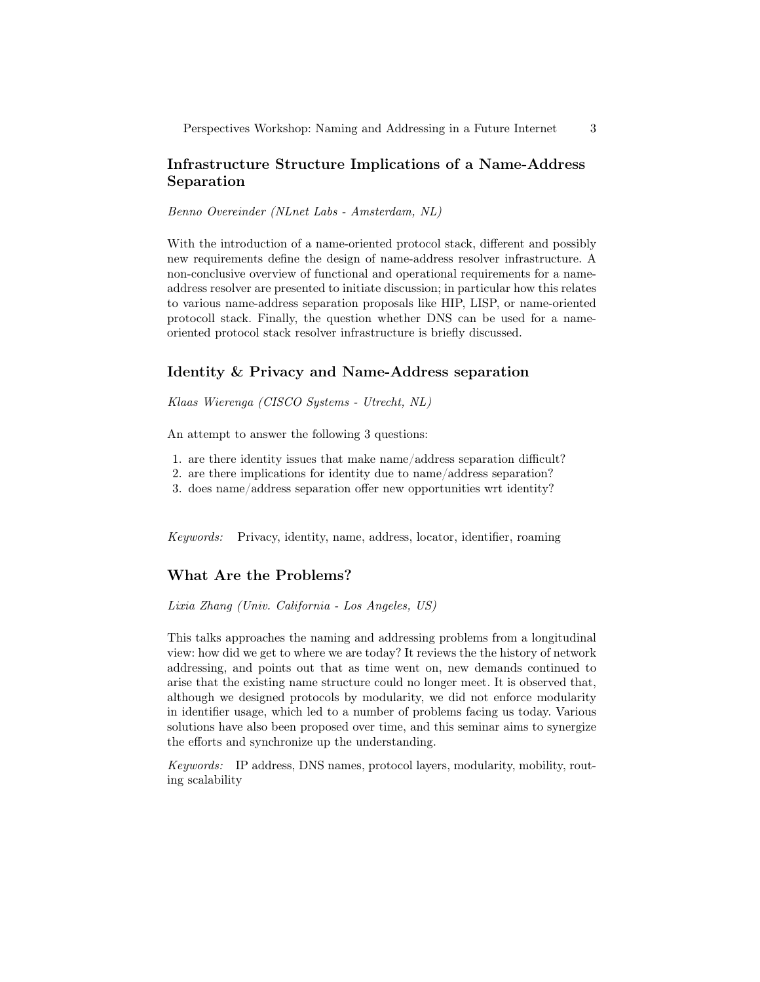## Infrastructure Structure Implications of a Name-Address Separation

Benno Overeinder (NLnet Labs - Amsterdam, NL)

With the introduction of a name-oriented protocol stack, different and possibly new requirements define the design of name-address resolver infrastructure. A non-conclusive overview of functional and operational requirements for a nameaddress resolver are presented to initiate discussion; in particular how this relates to various name-address separation proposals like HIP, LISP, or name-oriented protocoll stack. Finally, the question whether DNS can be used for a nameoriented protocol stack resolver infrastructure is briefly discussed.

#### Identity & Privacy and Name-Address separation

Klaas Wierenga (CISCO Systems - Utrecht, NL)

An attempt to answer the following 3 questions:

- 1. are there identity issues that make name/address separation difficult?
- 2. are there implications for identity due to name/address separation?
- 3. does name/address separation offer new opportunities wrt identity?

Keywords: Privacy, identity, name, address, locator, identifier, roaming

#### What Are the Problems?

Lixia Zhang (Univ. California - Los Angeles, US)

This talks approaches the naming and addressing problems from a longitudinal view: how did we get to where we are today? It reviews the the history of network addressing, and points out that as time went on, new demands continued to arise that the existing name structure could no longer meet. It is observed that, although we designed protocols by modularity, we did not enforce modularity in identifier usage, which led to a number of problems facing us today. Various solutions have also been proposed over time, and this seminar aims to synergize the efforts and synchronize up the understanding.

Keywords: IP address, DNS names, protocol layers, modularity, mobility, routing scalability